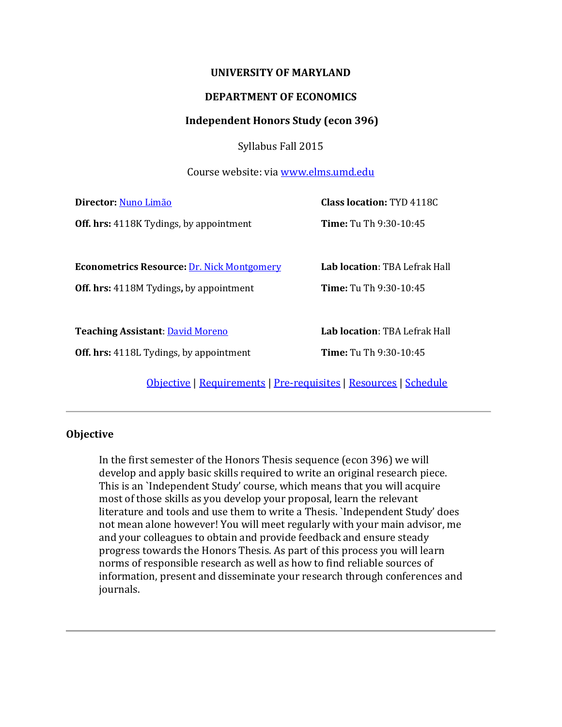#### **UNIVERSITY OF MARYLAND**

#### **DEPARTMENT OF ECONOMICS**

#### **Independent Honors Study (econ 396)**

Syllabus Fall 2015

Course website: via [www.elms.umd.edu](http://www.elms.umd.edu/)

| Director: Nuno Limão                              | <b>Class location: TYD 4118C</b>     |  |  |
|---------------------------------------------------|--------------------------------------|--|--|
| <b>Off. hrs:</b> 4118K Tydings, by appointment    | Time: Tu Th 9:30-10:45               |  |  |
|                                                   |                                      |  |  |
| <b>Econometrics Resource: Dr. Nick Montgomery</b> | <b>Lab location: TBA Lefrak Hall</b> |  |  |
| <b>Off. hrs:</b> 4118M Tydings, by appointment    | Time: Tu Th 9:30-10:45               |  |  |
|                                                   |                                      |  |  |
| <b>Teaching Assistant: David Moreno</b>           | <b>Lab location: TBA Lefrak Hall</b> |  |  |
| <b>Off. hrs:</b> 4118L Tydings, by appointment    | Time: Tu Th 9:30-10:45               |  |  |
| $\alpha$ is in its in                             | $\sqrt{2}$                           |  |  |

[Objective](#page-0-0) | [Requirements](#page-0-1) | [Pre-requisites](#page-1-0) | [Resources](#page-2-0) | [Schedule](#page-2-1)

## <span id="page-0-0"></span>**Objective**

<span id="page-0-1"></span>In the first semester of the Honors Thesis sequence (econ 396) we will develop and apply basic skills required to write an original research piece. This is an `Independent Study' course, which means that you will acquire most of those skills as you develop your proposal, learn the relevant literature and tools and use them to write a Thesis. `Independent Study' does not mean alone however! You will meet regularly with your main advisor, me and your colleagues to obtain and provide feedback and ensure steady progress towards the Honors Thesis. As part of this process you will learn norms of responsible research as well as how to find reliable sources of information, present and disseminate your research through conferences and journals.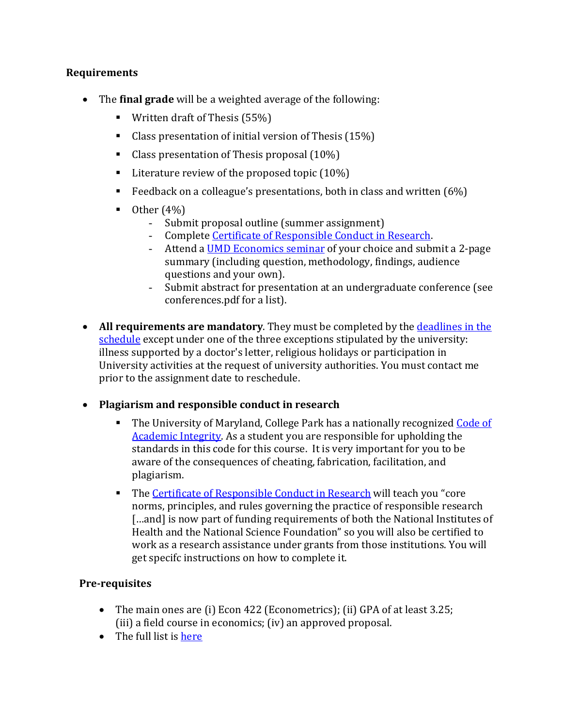## **Requirements**

- The **final grade** will be a weighted average of the following:
	- **Written draft of Thesis (55%)**
	- Class presentation of initial version of Thesis (15%)
	- Class presentation of Thesis proposal (10%)
	- **Literature review of the proposed topic (10%)**
	- Feedback on a colleague's presentations, both in class and written  $(6%)$
	- $\blacksquare$  Other  $(4\%)$ 
		- Submit proposal outline (summer assignment)
		- Complete *Certificate of Responsible Conduct in Research*.<br>- Attend a UMD Economics seminar of your choice and subi
		- Attend a [UMD Economics seminar](https://www.econ.umd.edu/about/events) of your choice and submit a 2-page summary (including question, methodology, findings, audience questions and your own).
		- Submit abstract for presentation at an undergraduate conference (see conferences.pdf for a list).
- All requirements are mandatory. They must be completed by the [deadlines in the](#page-2-1) [schedule](#page-2-1) except under one of the three exceptions stipulated by the university: illness supported by a doctor's letter, religious holidays or participation in University activities at the request of university authorities. You must contact me prior to the assignment date to reschedule.
- **Plagiarism and responsible conduct in research**
	- The University of Maryland, College Park has a nationally recognized [Code of](http://shc.umd.edu/SHC/HonorPledgeInformation.aspx)  [Academic Integrity.](http://shc.umd.edu/SHC/HonorPledgeInformation.aspx) As a student you are responsible for upholding the standards in this code for this course. It is very important for you to be aware of the consequences of cheating, fabrication, facilitation, and plagiarism.
	- The [Certificate of Responsible Conduct in Research](https://www.citiprogram.org/index.cfm?pageID=265) will teach you "core" norms, principles, and rules governing the practice of responsible research [...and] is now part of funding requirements of both the National Institutes of Health and the National Science Foundation" so you will also be certified to work as a research assistance under grants from those institutions. You will get specifc instructions on how to complete it.

## <span id="page-1-0"></span>**Pre-requisites**

- The main ones are (i) Econ 422 (Econometrics); (ii) GPA of at least 3.25; (iii) a field course in economics; (iv) an approved proposal.
- The full list is [here](http://www.econ.umd.edu/undergraduate/honors)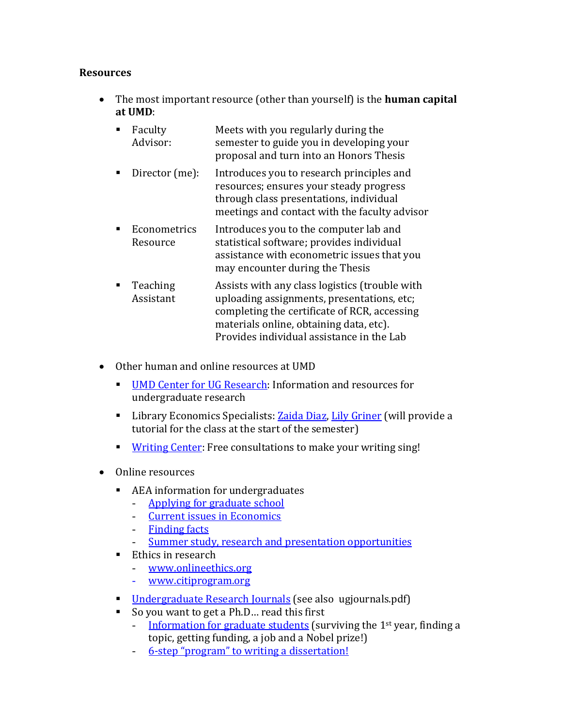## <span id="page-2-0"></span>**Resources**

- The most important resource (other than yourself) is the **human capital at UMD**:
	- $\blacksquare$  Faculty Advisor: Meets with you regularly during the semester to guide you in developing your proposal and turn into an Honors Thesis
	- Director (me): Introduces you to research principles and resources; ensures your steady progress through class presentations, individual meetings and contact with the faculty advisor
	- **Econometrics** Resource Introduces you to the computer lab and statistical software; provides individual assistance with econometric issues that you may encounter during the Thesis
	- Teaching Assistant Assists with any class logistics (trouble with uploading assignments, presentations, etc; completing the certificate of RCR, accessing materials online, obtaining data, etc). Provides individual assistance in the Lab
- Other human and online resources at UMD
	- **[UMD Center for UG Research:](http://www.ugresearch.umd.edu/) Information and resources for** undergraduate research
	- **Library Economics Specialists[: Zaida Diaz,](mailto:zdiaz@umd.edu) [Lily Griner](mailto:Griner@umd.edu) (will provide a** tutorial for the class at the start of the semester)
	- [Writing Center:](http://www.english.umd.edu/academics/writingcenter/undergraduate/hours) Free consultations to make your writing sing!
- <span id="page-2-1"></span>• Online resources
	- AEA information for undergraduates
		- [Applying for graduate school](http://www.aeaweb.org/students/GraduateStudy.php)<br>- Current issues in Economics
		- <u>[Current issues in Economics](http://www.aeaweb.org/students/Issues.php)</u><br>- Finding facts
		- **[Finding facts](http://www.aeaweb.org/students/FindingFacts.php)**
		- [Summer study, research and presentation opportunities](https://www.aeaweb.org/students/Opportunities.php)
	- Ethics in research<br>Figure 1.1 WWW onlinearly
		- [www.onlineethics.org](http://www.onlineethics.org/)
		- [www.citiprogram.org](http://www.citiprogram.org/)
	- **[Undergraduate Research Journals](http://www.ugresearch.umd.edu/publishingresearch.php)** (see also ugjournals.pdf)<br>Covou want to get a Ph.D., read this first
	- So you want to get a Ph.D... read this first<br>- Information for graduate students (su
		- [Information for graduate students](http://terpconnect.umd.edu/%7Elimao/graduate_info.pdf) (surviving the 1st year, finding a topic, getting funding, a job and a Nobel prize!)
		- [6-step "program" to writing a dissertation!](http://terpconnect.umd.edu/%7Elimao/6-step.pdf)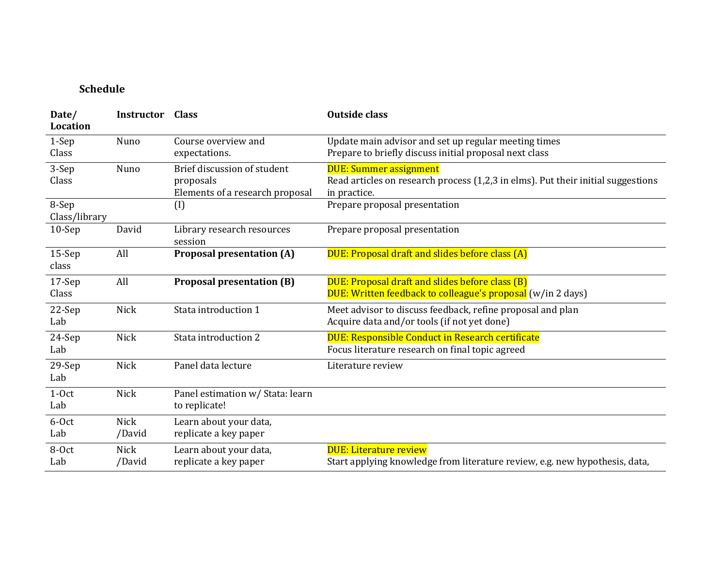# **Schedule**

| Date/<br><b>Location</b> | <b>Instructor</b> | <b>Class</b>                                      | <b>Outside class</b>                                                                                           |
|--------------------------|-------------------|---------------------------------------------------|----------------------------------------------------------------------------------------------------------------|
| 1-Sep                    | Nuno              | Course overview and                               | Update main advisor and set up regular meeting times                                                           |
| Class                    |                   | expectations.                                     | Prepare to briefly discuss initial proposal next class                                                         |
| 3-Sep                    | Nuno              | Brief discussion of student                       | <b>DUE: Summer assignment</b>                                                                                  |
| Class                    |                   | proposals<br>Elements of a research proposal      | Read articles on research process (1,2,3 in elms). Put their initial suggestions<br>in practice.               |
| 8-Sep<br>Class/library   |                   | $\left( I\right)$                                 | Prepare proposal presentation                                                                                  |
| $10-$ Sep                | David             | Library research resources<br>session             | Prepare proposal presentation                                                                                  |
| $15-Sep$<br>class        | All               | <b>Proposal presentation (A)</b>                  | DUE: Proposal draft and slides before class (A)                                                                |
| 17-Sep<br>Class          | All               | <b>Proposal presentation (B)</b>                  | DUE: Proposal draft and slides before class (B)<br>DUE: Written feedback to colleague's proposal (w/in 2 days) |
| 22-Sep<br>Lab            | Nick              | Stata introduction 1                              | Meet advisor to discuss feedback, refine proposal and plan<br>Acquire data and/or tools (if not yet done)      |
| 24-Sep<br>Lab            | Nick              | Stata introduction 2                              | DUE: Responsible Conduct in Research certificate<br>Focus literature research on final topic agreed            |
| $29-Sep$<br>Lab          | <b>Nick</b>       | Panel data lecture                                | Literature review                                                                                              |
| $1-0ct$<br>Lab           | Nick              | Panel estimation w/ Stata: learn<br>to replicate! |                                                                                                                |
| 6-Oct                    | <b>Nick</b>       | Learn about your data,                            |                                                                                                                |
| Lab                      | /David            | replicate a key paper                             |                                                                                                                |
| 8-Oct                    | <b>Nick</b>       | Learn about your data,                            | <b>DUE: Literature review</b>                                                                                  |
| Lab                      | /David            | replicate a key paper                             | Start applying knowledge from literature review, e.g. new hypothesis, data,                                    |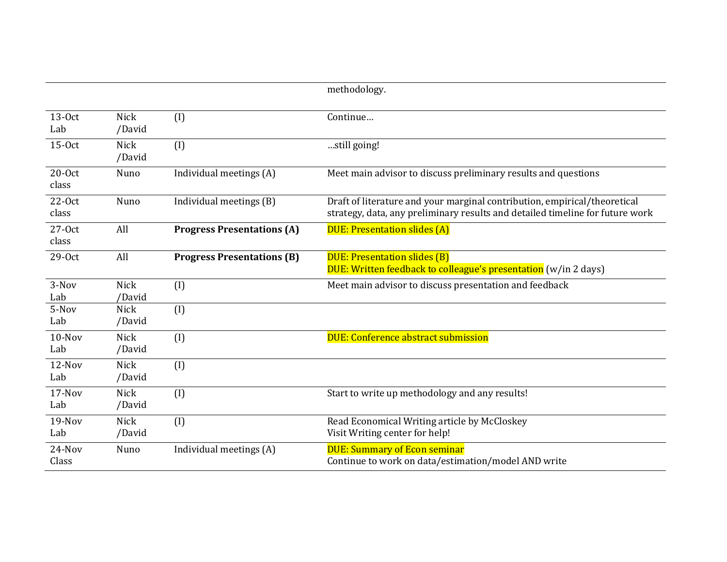|                   |                       |                                   | methodology.                                                                                                                                               |
|-------------------|-----------------------|-----------------------------------|------------------------------------------------------------------------------------------------------------------------------------------------------------|
| 13-Oct<br>Lab     | <b>Nick</b><br>/David | (1)                               | Continue                                                                                                                                                   |
| $15-0ct$          | <b>Nick</b><br>/David | (I)                               | still going!                                                                                                                                               |
| $20-0ct$<br>class | Nuno                  | Individual meetings (A)           | Meet main advisor to discuss preliminary results and questions                                                                                             |
| $22-0ct$<br>class | Nuno                  | Individual meetings (B)           | Draft of literature and your marginal contribution, empirical/theoretical<br>strategy, data, any preliminary results and detailed timeline for future work |
| $27-0ct$<br>class | All                   | <b>Progress Presentations (A)</b> | <b>DUE: Presentation slides (A)</b>                                                                                                                        |
| 29-Oct            | All                   | <b>Progress Presentations (B)</b> | <b>DUE: Presentation slides (B)</b><br>DUE: Written feedback to colleague's presentation (w/in 2 days)                                                     |
| 3-Nov<br>Lab      | <b>Nick</b><br>/David | (1)                               | Meet main advisor to discuss presentation and feedback                                                                                                     |
| 5-Nov<br>Lab      | Nick<br>/David        | (I)                               |                                                                                                                                                            |
| 10-Nov<br>Lab     | <b>Nick</b><br>/David | (1)                               | <b>DUE: Conference abstract submission</b>                                                                                                                 |
| 12-Nov<br>Lab     | <b>Nick</b><br>/David | (I)                               |                                                                                                                                                            |
| 17-Nov<br>Lab     | <b>Nick</b><br>/David | (I)                               | Start to write up methodology and any results!                                                                                                             |
| $19-Nov$<br>Lab   | <b>Nick</b><br>/David | (I)                               | Read Economical Writing article by McCloskey<br>Visit Writing center for help!                                                                             |
| 24-Nov<br>Class   | Nuno                  | Individual meetings (A)           | <b>DUE: Summary of Econ seminar</b><br>Continue to work on data/estimation/model AND write                                                                 |